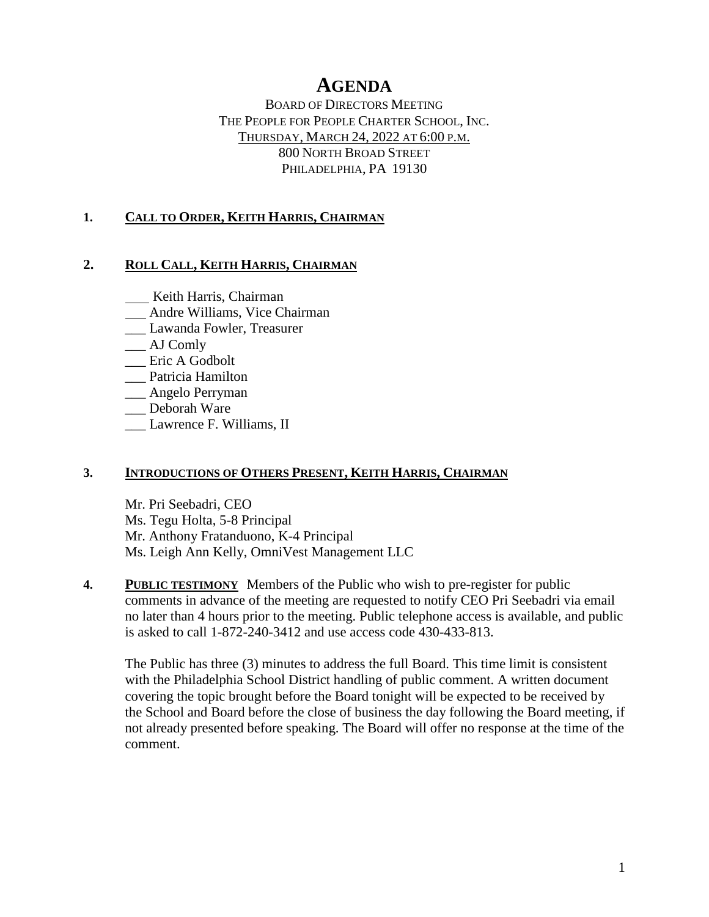# **AGENDA**

BOARD OF DIRECTORS MEETING THE PEOPLE FOR PEOPLE CHARTER SCHOOL, INC. THURSDAY, MARCH 24, 2022 AT 6:00 P.M. 800 NORTH BROAD STREET PHILADELPHIA, PA 19130

#### **1. CALL TO ORDER, KEITH HARRIS, CHAIRMAN**

#### **2. ROLL CALL, KEITH HARRIS, CHAIRMAN**

**Keith Harris, Chairman** 

- Andre Williams, Vice Chairman
- \_\_\_ Lawanda Fowler, Treasurer
- \_\_\_ AJ Comly
- \_\_\_ Eric A Godbolt
- \_\_\_ Patricia Hamilton
- \_\_\_ Angelo Perryman
- \_\_\_ Deborah Ware
- Lawrence F. Williams, II

#### **3. INTRODUCTIONS OF OTHERS PRESENT, KEITH HARRIS, CHAIRMAN**

Mr. Pri Seebadri, CEO Ms. Tegu Holta, 5-8 Principal Mr. Anthony Fratanduono, K-4 Principal Ms. Leigh Ann Kelly, OmniVest Management LLC

**4. PUBLIC TESTIMONY** Members of the Public who wish to pre-register for public comments in advance of the meeting are requested to notify CEO Pri Seebadri via email no later than 4 hours prior to the meeting. Public telephone access is available, and public is asked to call 1-872-240-3412 and use access code 430-433-813.

The Public has three (3) minutes to address the full Board. This time limit is consistent with the Philadelphia School District handling of public comment. A written document covering the topic brought before the Board tonight will be expected to be received by the School and Board before the close of business the day following the Board meeting, if not already presented before speaking. The Board will offer no response at the time of the comment.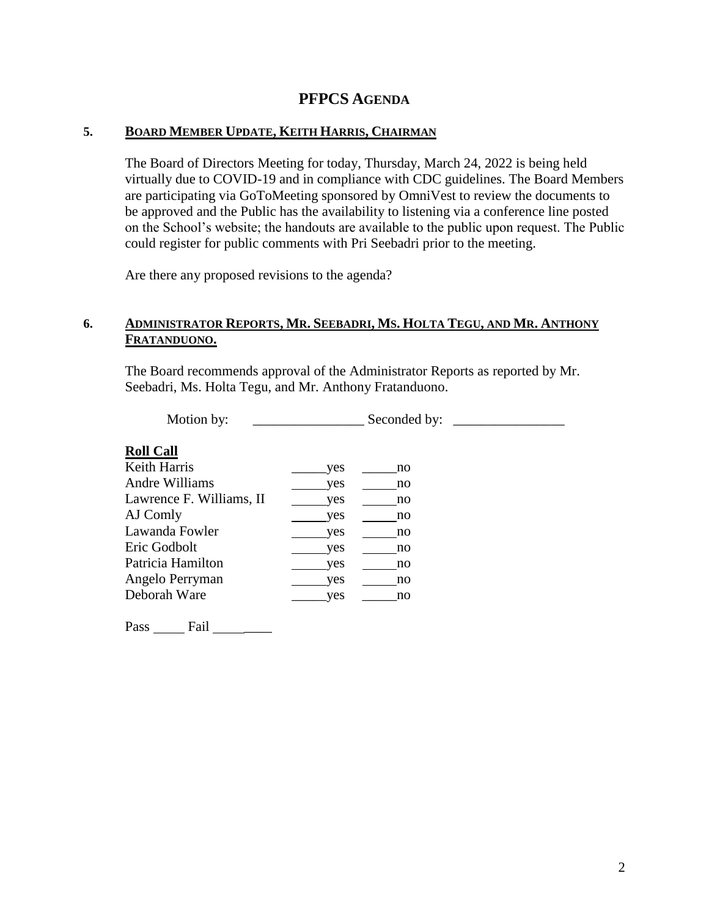## **PFPCS AGENDA**

#### **5. BOARD MEMBER UPDATE, KEITH HARRIS, CHAIRMAN**

The Board of Directors Meeting for today, Thursday, March 24, 2022 is being held virtually due to COVID-19 and in compliance with CDC guidelines. The Board Members are participating via GoToMeeting sponsored by OmniVest to review the documents to be approved and the Public has the availability to listening via a conference line posted on the School's website; the handouts are available to the public upon request. The Public could register for public comments with Pri Seebadri prior to the meeting.

Are there any proposed revisions to the agenda?

#### 6. ADMINISTRATOR REPORTS, MR. SEEBADRI, MS. HOLTA TEGU, AND MR. ANTHONY **FRATANDUONO.**

The Board recommends approval of the Administrator Reports as reported by Mr. Seebadri, Ms. Holta Tegu, and Mr. Anthony Fratanduono.

Motion by: \_\_\_\_\_\_\_\_\_\_\_\_\_\_\_\_\_\_\_\_\_\_\_\_\_ Seconded by: \_\_\_\_\_\_\_\_\_\_\_\_\_\_\_\_\_\_\_\_\_\_\_\_\_\_\_\_\_\_

#### **Roll Call**

| Keith Harris             | yes | no |
|--------------------------|-----|----|
| Andre Williams           | yes | no |
| Lawrence F. Williams, II | yes | no |
| AJ Comly                 | yes | no |
| Lawanda Fowler           | yes | no |
| Eric Godbolt             | yes | no |
| Patricia Hamilton        | yes | no |
| Angelo Perryman          | yes | no |
| Deborah Ware             | yes | no |
|                          |     |    |

Pass Fail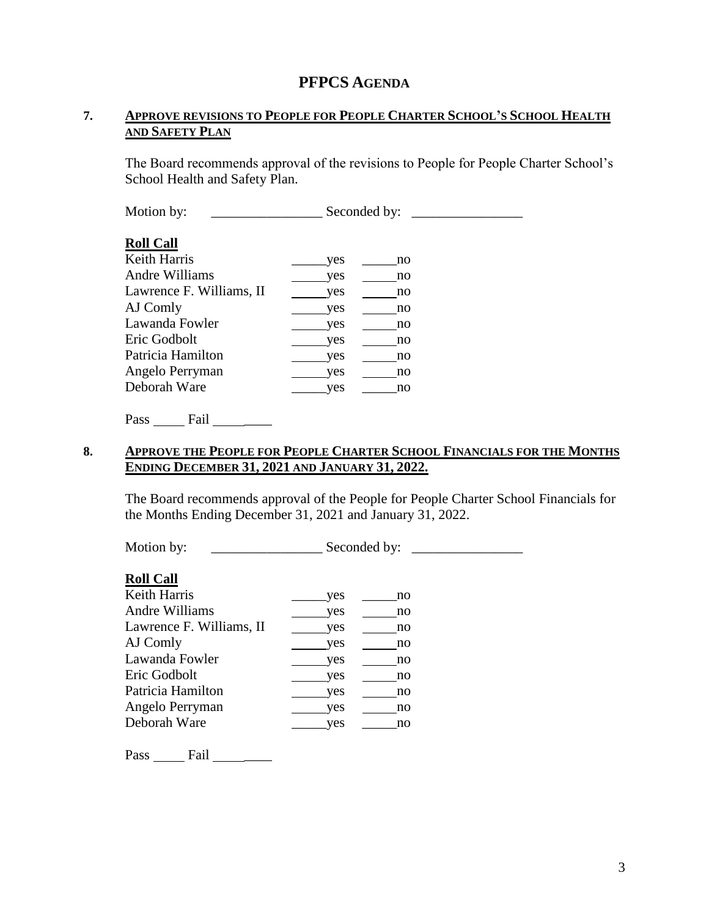## **PFPCS AGENDA**

#### **7. APPROVE REVISIONS TO PEOPLE FOR PEOPLE CHARTER SCHOOL'S SCHOOL HEALTH AND SAFETY PLAN**

The Board recommends approval of the revisions to People for People Charter School's School Health and Safety Plan.

| Motion by:               | Seconded by: |
|--------------------------|--------------|
| <b>Roll Call</b>         |              |
| <b>Keith Harris</b>      | yes<br>no    |
| Andre Williams           | yes<br>no    |
| Lawrence F. Williams, II | yes<br>no    |
| AJ Comly                 | yes<br>no    |
| Lawanda Fowler           | yes<br>no    |
| Eric Godbolt             | yes<br>no    |
| Patricia Hamilton        | yes<br>no    |
| Angelo Perryman          | yes<br>no    |
| Deborah Ware             | yes<br>no    |

#### **8. APPROVE THE PEOPLE FOR PEOPLE CHARTER SCHOOL FINANCIALS FOR THE MONTHS ENDING DECEMBER 31, 2021 AND JANUARY 31, 2022.**

The Board recommends approval of the People for People Charter School Financials for the Months Ending December 31, 2021 and January 31, 2022.

Motion by: \_\_\_\_\_\_\_\_\_\_\_\_\_\_\_\_\_\_\_\_\_\_\_\_\_ Seconded by: \_\_\_\_\_\_\_\_\_\_\_\_\_\_\_\_\_\_\_\_\_\_\_\_\_\_\_\_\_\_

#### **Roll Call**

| Keith Harris             | yes | no |
|--------------------------|-----|----|
| Andre Williams           | yes | no |
| Lawrence F. Williams, II | yes | no |
| AJ Comly                 | yes | no |
| Lawanda Fowler           | yes | no |
| Eric Godbolt             | yes | no |
| Patricia Hamilton        | yes | no |
| Angelo Perryman          | yes | no |
| Deborah Ware             | ves | no |
|                          |     |    |

Pass \_\_\_\_\_\_\_ Fail \_\_\_\_\_\_\_\_\_\_\_\_